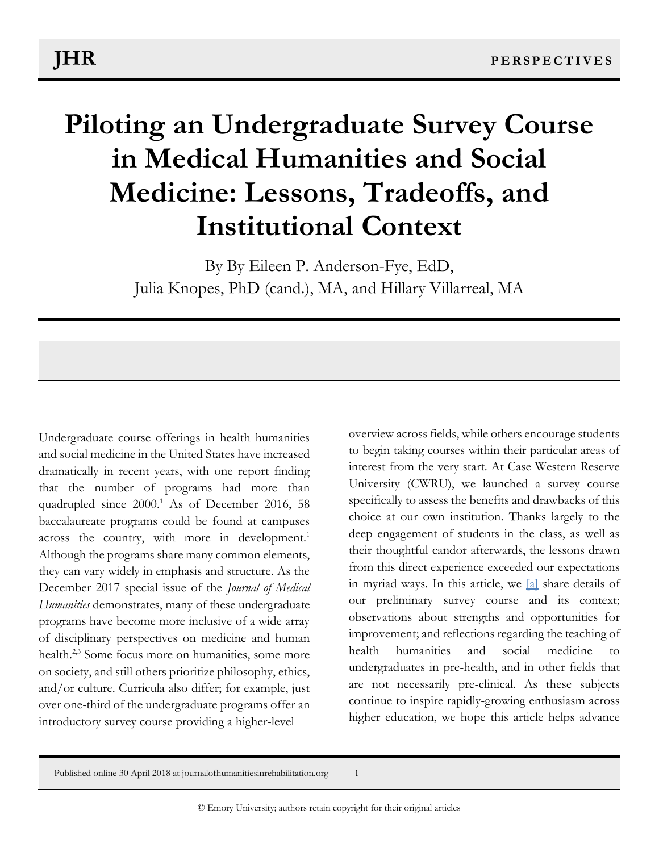# **Piloting an Undergraduate Survey Course in Medical Humanities and Social Medicine: Lessons, Tradeoffs, and Institutional Context**

By By Eileen P. Anderson-Fye, EdD, Julia Knopes, PhD (cand.), MA, and Hillary Villarreal, MA

Undergraduate course offerings in health humanities and social medicine in the United States have increased dramatically in recent years, with one report finding that the number of programs had more than quadrupled since 2000.<sup>1</sup> As of December 2016, 58 baccalaureate programs could be found at campuses across the country, with more in development.<sup>1</sup> Although the programs share many common elements, they can vary widely in emphasis and structure. As the December 2017 special issue of the *Journal of Medical Humanities* demonstrates, many of these undergraduate programs have become more inclusive of a wide array of disciplinary perspectives on medicine and human health.<sup>2,3</sup> Some focus more on humanities, some more on society, and still others prioritize philosophy, ethics, and/or culture. Curricula also differ; for example, just over one-third of the undergraduate programs offer an introductory survey course providing a higher-level

<span id="page-0-0"></span>overview across fields, while others encourage students to begin taking courses within their particular areas of interest from the very start. At Case Western Reserve University (CWRU), we launched a survey course specifically to assess the benefits and drawbacks of this choice at our own institution. Thanks largely to the deep engagement of students in the class, as well as their thoughtful candor afterwards, the lessons drawn from this direct experience exceeded our expectations in myriad ways. In this article, we [\[a\]](#page-10-0) share details of our preliminary survey course and its context; observations about strengths and opportunities for improvement; and reflections regarding the teaching of health humanities and social medicine to undergraduates in pre-health, and in other fields that are not necessarily pre-clinical. As these subjects continue to inspire rapidly-growing enthusiasm across higher education, we hope this article helps advance

Published online 30 April 2018 at journalofhumanitiesinrehabilitation.org 1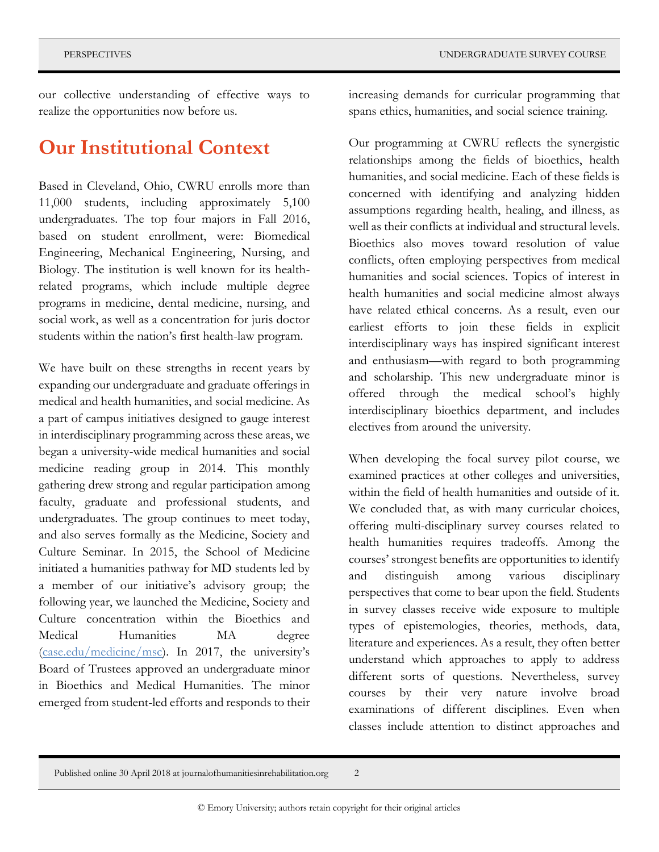our collective understanding of effective ways to realize the opportunities now before us.

### **Our Institutional Context**

Based in Cleveland, Ohio, CWRU enrolls more than 11,000 students, including approximately 5,100 undergraduates. The top four majors in Fall 2016, based on student enrollment, were: Biomedical Engineering, Mechanical Engineering, Nursing, and Biology. The institution is well known for its healthrelated programs, which include multiple degree programs in medicine, dental medicine, nursing, and social work, as well as a concentration for juris doctor students within the nation's first health-law program.

We have built on these strengths in recent years by expanding our undergraduate and graduate offerings in medical and health humanities, and social medicine. As a part of campus initiatives designed to gauge interest in interdisciplinary programming across these areas, we began a university-wide medical humanities and social medicine reading group in 2014. This monthly gathering drew strong and regular participation among faculty, graduate and professional students, and undergraduates. The group continues to meet today, and also serves formally as the Medicine, Society and Culture Seminar. In 2015, the School of Medicine initiated a humanities pathway for MD students led by a member of our initiative's advisory group; the following year, we launched the Medicine, Society and Culture concentration within the Bioethics and Medical Humanities MA degree [\(case.edu/medicine/msc](http://case.edu/medicine/msc)). In 2017, the university's Board of Trustees approved an undergraduate minor in Bioethics and Medical Humanities. The minor emerged from student-led efforts and responds to their

increasing demands for curricular programming that spans ethics, humanities, and social science training.

Our programming at CWRU reflects the synergistic relationships among the fields of bioethics, health humanities, and social medicine. Each of these fields is concerned with identifying and analyzing hidden assumptions regarding health, healing, and illness, as well as their conflicts at individual and structural levels. Bioethics also moves toward resolution of value conflicts, often employing perspectives from medical humanities and social sciences. Topics of interest in health humanities and social medicine almost always have related ethical concerns. As a result, even our earliest efforts to join these fields in explicit interdisciplinary ways has inspired significant interest and enthusiasm—with regard to both programming and scholarship. This new undergraduate minor is offered through the medical school's highly interdisciplinary bioethics department, and includes electives from around the university.

When developing the focal survey pilot course, we examined practices at other colleges and universities, within the field of health humanities and outside of it. We concluded that, as with many curricular choices, offering multi-disciplinary survey courses related to health humanities requires tradeoffs. Among the courses' strongest benefits are opportunities to identify and distinguish among various disciplinary perspectives that come to bear upon the field. Students in survey classes receive wide exposure to multiple types of epistemologies, theories, methods, data, literature and experiences. As a result, they often better understand which approaches to apply to address different sorts of questions. Nevertheless, survey courses by their very nature involve broad examinations of different disciplines. Even when classes include attention to distinct approaches and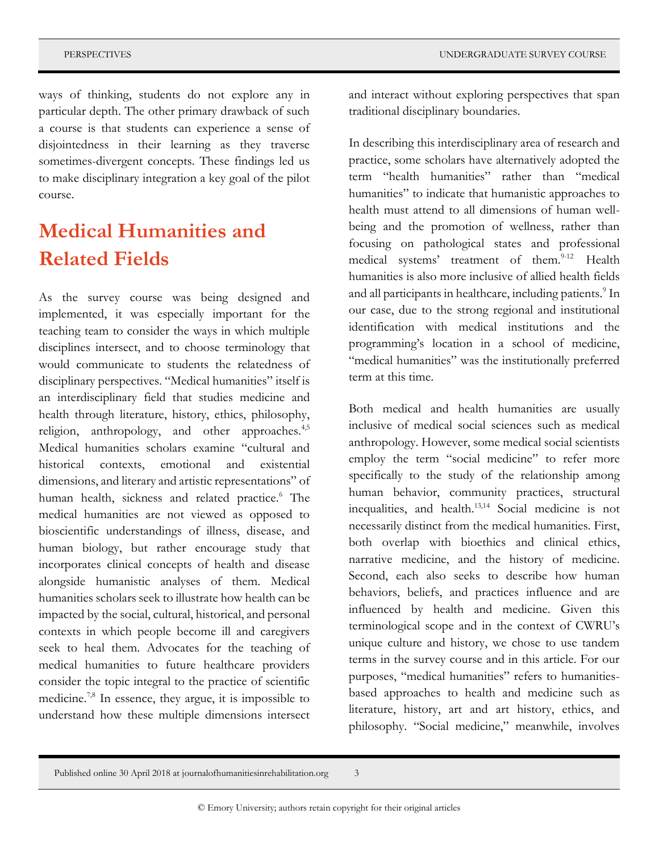ways of thinking, students do not explore any in particular depth. The other primary drawback of such a course is that students can experience a sense of disjointedness in their learning as they traverse sometimes-divergent concepts. These findings led us to make disciplinary integration a key goal of the pilot course.

### **Medical Humanities and Related Fields**

As the survey course was being designed and implemented, it was especially important for the teaching team to consider the ways in which multiple disciplines intersect, and to choose terminology that would communicate to students the relatedness of disciplinary perspectives. "Medical humanities" itself is an interdisciplinary field that studies medicine and health through literature, history, ethics, philosophy, religion, anthropology, and other approaches.<sup>4,5</sup> Medical humanities scholars examine "cultural and historical contexts, emotional and existential dimensions, and literary and artistic representations" of human health, sickness and related practice.<sup>6</sup> The medical humanities are not viewed as opposed to bioscientific understandings of illness, disease, and human biology, but rather encourage study that incorporates clinical concepts of health and disease alongside humanistic analyses of them. Medical humanities scholars seek to illustrate how health can be impacted by the social, cultural, historical, and personal contexts in which people become ill and caregivers seek to heal them. Advocates for the teaching of medical humanities to future healthcare providers consider the topic integral to the practice of scientific medicine.7,8 In essence, they argue, it is impossible to understand how these multiple dimensions intersect

and interact without exploring perspectives that span traditional disciplinary boundaries.

In describing this interdisciplinary area of research and practice, some scholars have alternatively adopted the term "health humanities" rather than "medical humanities" to indicate that humanistic approaches to health must attend to all dimensions of human wellbeing and the promotion of wellness, rather than focusing on pathological states and professional medical systems' treatment of them.<sup>9-12</sup> Health humanities is also more inclusive of allied health fields and all participants in healthcare, including patients.<sup>9</sup> In our case, due to the strong regional and institutional identification with medical institutions and the programming's location in a school of medicine, "medical humanities" was the institutionally preferred term at this time.

Both medical and health humanities are usually inclusive of medical social sciences such as medical anthropology. However, some medical social scientists employ the term "social medicine" to refer more specifically to the study of the relationship among human behavior, community practices, structural inequalities, and health.13,14 Social medicine is not necessarily distinct from the medical humanities. First, both overlap with bioethics and clinical ethics, narrative medicine, and the history of medicine. Second, each also seeks to describe how human behaviors, beliefs, and practices influence and are influenced by health and medicine. Given this terminological scope and in the context of CWRU's unique culture and history, we chose to use tandem terms in the survey course and in this article. For our purposes, "medical humanities" refers to humanitiesbased approaches to health and medicine such as literature, history, art and art history, ethics, and philosophy. "Social medicine," meanwhile, involves

Published online 30 April 2018 at journalofhumanitiesinrehabilitation.org 3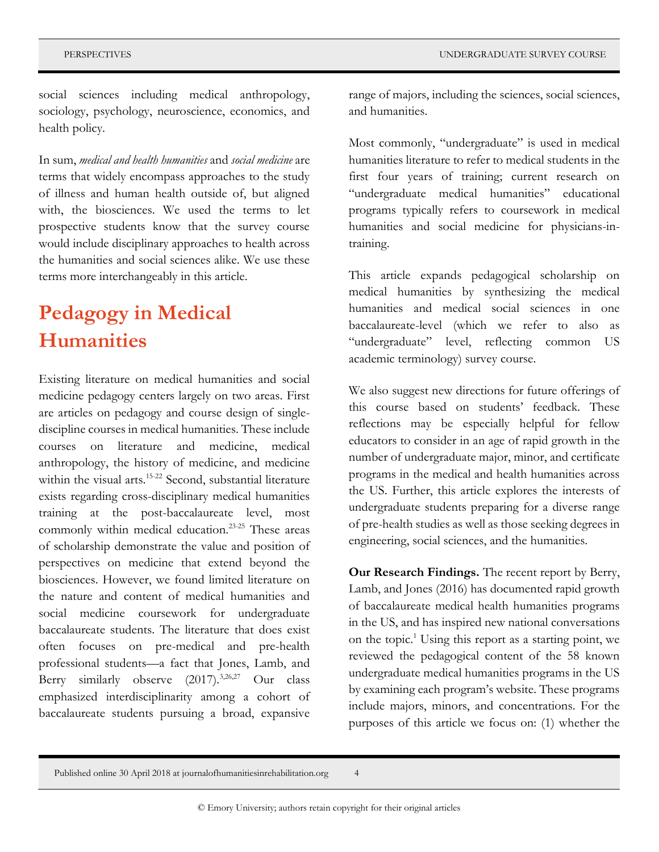social sciences including medical anthropology, sociology, psychology, neuroscience, economics, and health policy.

In sum, *medical and health humanities* and *social medicine* are terms that widely encompass approaches to the study of illness and human health outside of, but aligned with, the biosciences. We used the terms to let prospective students know that the survey course would include disciplinary approaches to health across the humanities and social sciences alike. We use these terms more interchangeably in this article.

## **Pedagogy in Medical Humanities**

Existing literature on medical humanities and social medicine pedagogy centers largely on two areas. First are articles on pedagogy and course design of singlediscipline courses in medical humanities. These include courses on literature and medicine, medical anthropology, the history of medicine, and medicine within the visual arts.<sup>15-22</sup> Second, substantial literature exists regarding cross-disciplinary medical humanities training at the post-baccalaureate level, most commonly within medical education.23-25 These areas of scholarship demonstrate the value and position of perspectives on medicine that extend beyond the biosciences. However, we found limited literature on the nature and content of medical humanities and social medicine coursework for undergraduate baccalaureate students. The literature that does exist often focuses on pre-medical and pre-health professional students—a fact that Jones, Lamb, and Berry similarly observe (2017).<sup>3,26,27</sup> Our class emphasized interdisciplinarity among a cohort of baccalaureate students pursuing a broad, expansive

range of majors, including the sciences, social sciences, and humanities.

Most commonly, "undergraduate" is used in medical humanities literature to refer to medical students in the first four years of training; current research on "undergraduate medical humanities" educational programs typically refers to coursework in medical humanities and social medicine for physicians-intraining.

This article expands pedagogical scholarship on medical humanities by synthesizing the medical humanities and medical social sciences in one baccalaureate-level (which we refer to also as "undergraduate" level, reflecting common US academic terminology) survey course.

We also suggest new directions for future offerings of this course based on students' feedback. These reflections may be especially helpful for fellow educators to consider in an age of rapid growth in the number of undergraduate major, minor, and certificate programs in the medical and health humanities across the US. Further, this article explores the interests of undergraduate students preparing for a diverse range of pre-health studies as well as those seeking degrees in engineering, social sciences, and the humanities.

**Our Research Findings.** The recent report by Berry, Lamb, and Jones (2016) has documented rapid growth of baccalaureate medical health humanities programs in the US, and has inspired new national conversations on the topic.<sup>1</sup> Using this report as a starting point, we reviewed the pedagogical content of the 58 known undergraduate medical humanities programs in the US by examining each program's website. These programs include majors, minors, and concentrations. For the purposes of this article we focus on: (1) whether the

Published online 30 April 2018 at journalofhumanitiesinrehabilitation.org 4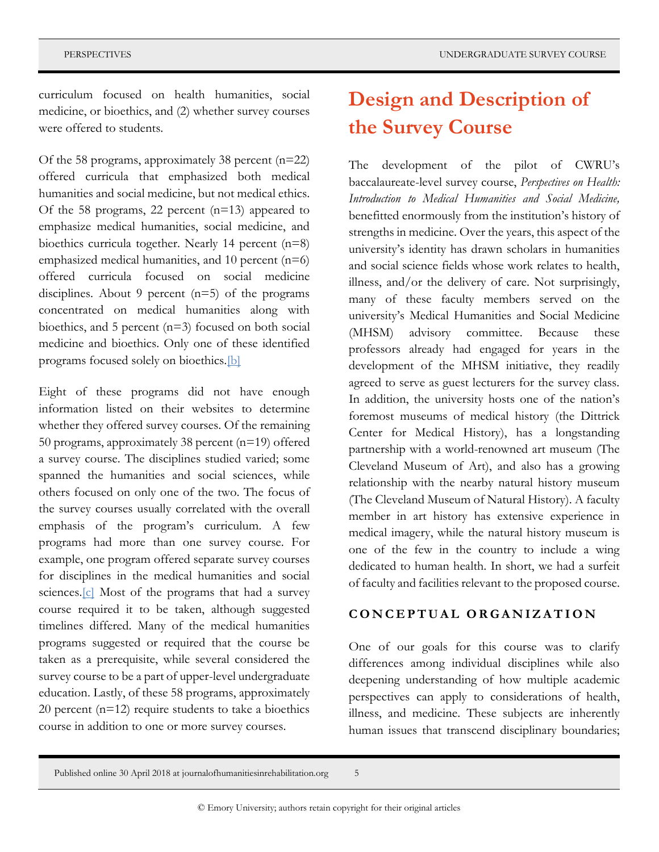curriculum focused on health humanities, social medicine, or bioethics, and (2) whether survey courses were offered to students.

Of the 58 programs, approximately 38 percent (n=22) offered curricula that emphasized both medical humanities and social medicine, but not medical ethics. Of the 58 programs, 22 percent (n=13) appeared to emphasize medical humanities, social medicine, and bioethics curricula together. Nearly 14 percent (n=8) emphasized medical humanities, and 10 percent  $(n=6)$ offered curricula focused on social medicine disciplines. About 9 percent  $(n=5)$  of the programs concentrated on medical humanities along with bioethics, and 5 percent (n=3) focused on both social medicine and bioethics. Only one of these identified programs focused solely on bioethics[.\[b\]](#page-10-1)

<span id="page-4-0"></span>Eight of these programs did not have enough information listed on their websites to determine whether they offered survey courses. Of the remaining 50 programs, approximately 38 percent (n=19) offered a survey course. The disciplines studied varied; some spanned the humanities and social sciences, while others focused on only one of the two. The focus of the survey courses usually correlated with the overall emphasis of the program's curriculum. A few programs had more than one survey course. For example, one program offered separate survey courses for disciplines in the medical humanities and social sciences. $[c]$  Most of the programs that had a survey course required it to be taken, although suggested timelines differed. Many of the medical humanities programs suggested or required that the course be taken as a prerequisite, while several considered the survey course to be a part of upper-level undergraduate education. Lastly, of these 58 programs, approximately 20 percent (n=12) require students to take a bioethics course in addition to one or more survey courses.

## **Design and Description of the Survey Course**

The development of the pilot of CWRU's baccalaureate-level survey course, *Perspectives on Health: Introduction to Medical Humanities and Social Medicine,* benefitted enormously from the institution's history of strengths in medicine. Over the years, this aspect of the university's identity has drawn scholars in humanities and social science fields whose work relates to health, illness, and/or the delivery of care. Not surprisingly, many of these faculty members served on the university's Medical Humanities and Social Medicine (MHSM) advisory committee. Because these professors already had engaged for years in the development of the MHSM initiative, they readily agreed to serve as guest lecturers for the survey class. In addition, the university hosts one of the nation's foremost museums of medical history (the Dittrick Center for Medical History), has a longstanding partnership with a world-renowned art museum (The Cleveland Museum of Art), and also has a growing relationship with the nearby natural history museum (The Cleveland Museum of Natural History). A faculty member in art history has extensive experience in medical imagery, while the natural history museum is one of the few in the country to include a wing dedicated to human health. In short, we had a surfeit of faculty and facilities relevant to the proposed course.

#### **C O N C E P T U A L O R G A N I Z A T I O N**

One of our goals for this course was to clarify differences among individual disciplines while also deepening understanding of how multiple academic perspectives can apply to considerations of health, illness, and medicine. These subjects are inherently human issues that transcend disciplinary boundaries;

<span id="page-4-1"></span>Published online 30 April 2018 at journalofhumanitiesinrehabilitation.org 5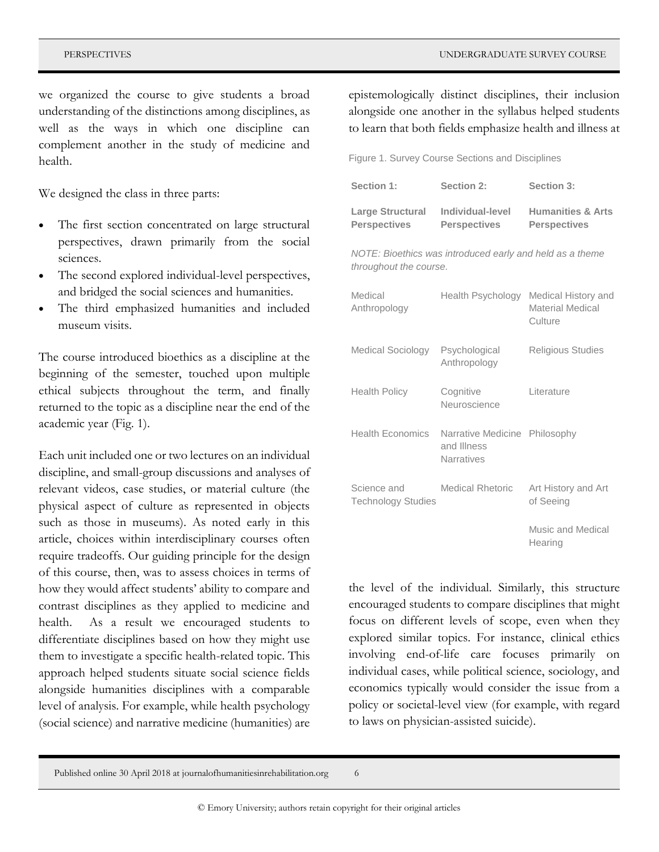we organized the course to give students a broad understanding of the distinctions among disciplines, as well as the ways in which one discipline can complement another in the study of medicine and health.

We designed the class in three parts:

- The first section concentrated on large structural perspectives, drawn primarily from the social sciences.
- The second explored individual-level perspectives, and bridged the social sciences and humanities.
- The third emphasized humanities and included museum visits.

The course introduced bioethics as a discipline at the beginning of the semester, touched upon multiple ethical subjects throughout the term, and finally returned to the topic as a discipline near the end of the academic year (Fig. 1).

Each unit included one or two lectures on an individual discipline, and small-group discussions and analyses of relevant videos, case studies, or material culture (the physical aspect of culture as represented in objects such as those in museums). As noted early in this article, choices within interdisciplinary courses often require tradeoffs. Our guiding principle for the design of this course, then, was to assess choices in terms of how they would affect students' ability to compare and contrast disciplines as they applied to medicine and health. As a result we encouraged students to differentiate disciplines based on how they might use them to investigate a specific health-related topic. This approach helped students situate social science fields alongside humanities disciplines with a comparable level of analysis. For example, while health psychology (social science) and narrative medicine (humanities) are

epistemologically distinct disciplines, their inclusion alongside one another in the syllabus helped students to learn that both fields emphasize health and illness at

Figure 1. Survey Course Sections and Disciplines

| Section 1:              | Section 2:          | Section 3:                   |
|-------------------------|---------------------|------------------------------|
| <b>Large Structural</b> | Individual-level    | <b>Humanities &amp; Arts</b> |
| <b>Perspectives</b>     | <b>Perspectives</b> | <b>Perspectives</b>          |

*NOTE: Bioethics was introduced early and held as a theme throughout the course.*

| Medical<br>Anthropology                  | Health Psychology                                                 | Medical History and<br>Material Medical<br>Culture |
|------------------------------------------|-------------------------------------------------------------------|----------------------------------------------------|
| Medical Sociology                        | Psychological<br>Anthropology                                     | <b>Religious Studies</b>                           |
| <b>Health Policy</b>                     | Cognitive<br>Neuroscience                                         | Literature                                         |
| Health Economics                         | Narrative Medicine Philosophy<br>and Illness<br><b>Narratives</b> |                                                    |
| Science and<br><b>Technology Studies</b> | <b>Medical Rhetoric</b>                                           | Art History and Art<br>of Seeing                   |
|                                          |                                                                   | Music and Medical<br>Hearing                       |

the level of the individual. Similarly, this structure encouraged students to compare disciplines that might focus on different levels of scope, even when they explored similar topics. For instance, clinical ethics involving end-of-life care focuses primarily on individual cases, while political science, sociology, and economics typically would consider the issue from a policy or societal-level view (for example, with regard to laws on physician-assisted suicide).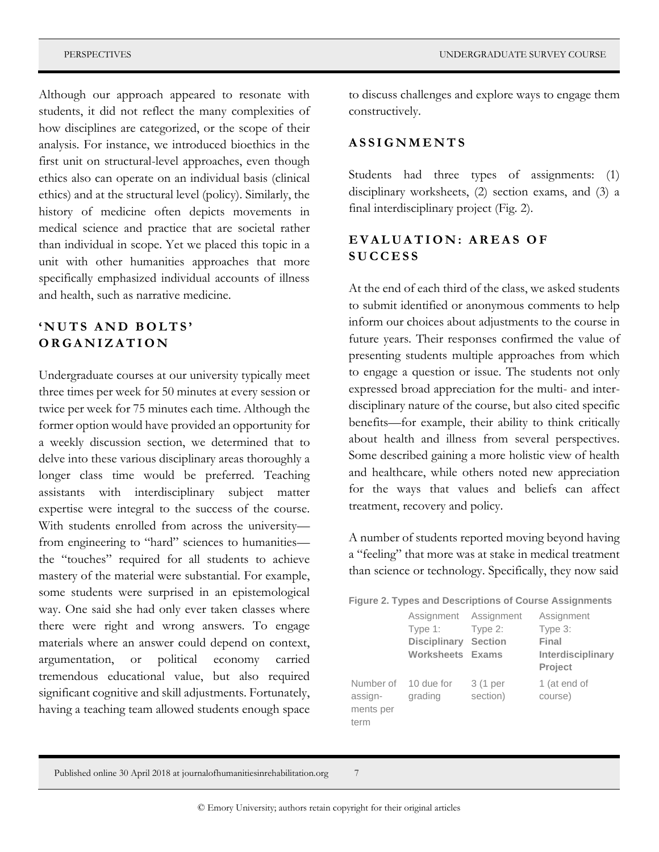Although our approach appeared to resonate with students, it did not reflect the many complexities of how disciplines are categorized, or the scope of their analysis. For instance, we introduced bioethics in the first unit on structural-level approaches, even though ethics also can operate on an individual basis (clinical ethics) and at the structural level (policy). Similarly, the history of medicine often depicts movements in medical science and practice that are societal rather than individual in scope. Yet we placed this topic in a unit with other humanities approaches that more specifically emphasized individual accounts of illness and health, such as narrative medicine.

#### 'NUTS AND BOLTS' **O R G A N I Z A T I O N**

Undergraduate courses at our university typically meet three times per week for 50 minutes at every session or twice per week for 75 minutes each time. Although the former option would have provided an opportunity for a weekly discussion section, we determined that to delve into these various disciplinary areas thoroughly a longer class time would be preferred. Teaching assistants with interdisciplinary subject matter expertise were integral to the success of the course. With students enrolled from across the university from engineering to "hard" sciences to humanities the "touches" required for all students to achieve mastery of the material were substantial. For example, some students were surprised in an epistemological way. One said she had only ever taken classes where there were right and wrong answers. To engage materials where an answer could depend on context, argumentation, or political economy carried tremendous educational value, but also required significant cognitive and skill adjustments. Fortunately, having a teaching team allowed students enough space

to discuss challenges and explore ways to engage them constructively.

#### **A S S I G N M E N T S**

Students had three types of assignments: (1) disciplinary worksheets, (2) section exams, and (3) a final interdisciplinary project (Fig. 2).

#### **E V A L U A T I O N : A R E A S O F S U C C E S S**

At the end of each third of the class, we asked students to submit identified or anonymous comments to help inform our choices about adjustments to the course in future years. Their responses confirmed the value of presenting students multiple approaches from which to engage a question or issue. The students not only expressed broad appreciation for the multi- and interdisciplinary nature of the course, but also cited specific benefits—for example, their ability to think critically about health and illness from several perspectives. Some described gaining a more holistic view of health and healthcare, while others noted new appreciation for the ways that values and beliefs can affect treatment, recovery and policy.

A number of students reported moving beyond having a "feeling" that more was at stake in medical treatment than science or technology. Specifically, they now said

|  |  | <b>Figure 2. Types and Descriptions of Course Assignments</b> |
|--|--|---------------------------------------------------------------|
|--|--|---------------------------------------------------------------|

|                                           | Assignment Assignment<br>Type 1:<br><b>Disciplinary</b><br><b>Worksheets Exams</b> | Type 2:<br><b>Section</b> | Assignment<br>Type 3:<br>Final<br>Interdisciplinary<br><b>Project</b> |
|-------------------------------------------|------------------------------------------------------------------------------------|---------------------------|-----------------------------------------------------------------------|
| Number of<br>assign-<br>ments per<br>term | 10 due for<br>grading                                                              | 3 (1 per<br>section)      | 1 (at end of<br>course)                                               |

Published online 30 April 2018 at journalofhumanitiesinrehabilitation.org 7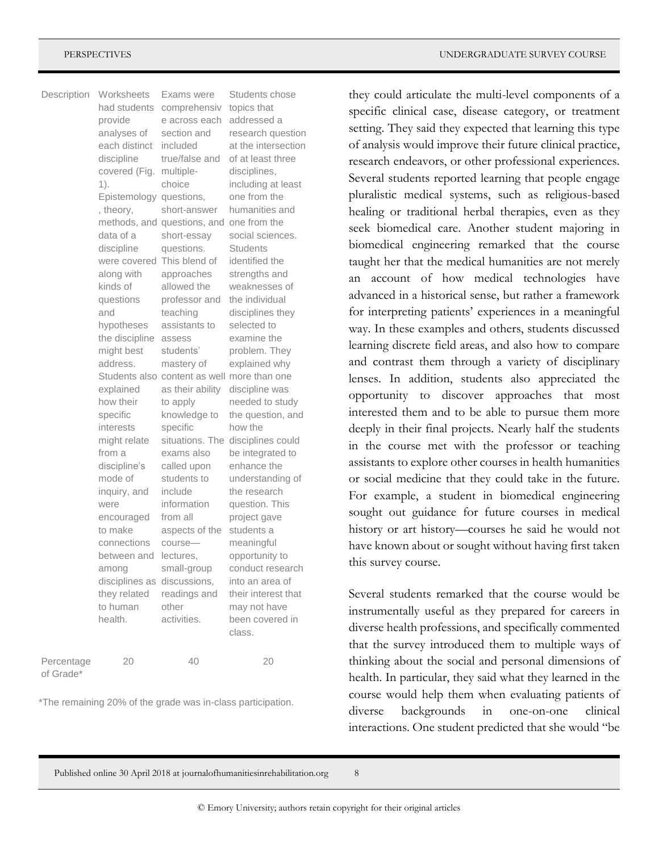| Description             | Worksheets<br>had students<br>provide<br>analyses of<br>each distinct<br>discipline<br>covered (Fig.<br>1).<br>Epistemology questions,<br>, theory,<br>data of a<br>discipline<br>were covered<br>along with<br>kinds of<br>questions<br>and<br>hypotheses<br>the discipline<br>might best<br>address.<br>explained<br>how their<br>specific<br>interests<br>might relate<br>from a<br>discipline's<br>mode of<br>inguiry, and<br>were<br>encouraged<br>to make<br>connections<br>between and<br>among<br>disciplines as discussions,<br>they related<br>to human<br>health. | Exams were<br>comprehensiv<br>e across each<br>section and<br>included<br>true/false and<br>multiple-<br>choice<br>short-answer<br>methods, and questions, and one from the<br>short-essay<br>questions.<br>This blend of<br>approaches<br>allowed the<br>professor and<br>teaching<br>assistants to<br>assess<br>students'<br>mastery of<br>Students also content as well more than one<br>as their ability<br>to apply<br>knowledge to<br>specific<br>exams also<br>called upon<br>students to<br>include<br>information<br>from all<br>aspects of the<br>course-<br>lectures,<br>small-group<br>readings and<br>other<br>activities. | Students chose<br>topics that<br>addressed a<br>research question<br>at the intersection<br>of at least three<br>disciplines,<br>including at least<br>one from the<br>humanities and<br>social sciences.<br>Students<br>identified the<br>strengths and<br>weaknesses of<br>the individual<br>disciplines they<br>selected to<br>examine the<br>problem. They<br>explained why<br>discipline was<br>needed to study<br>the question, and<br>how the<br>situations. The disciplines could<br>be integrated to<br>enhance the<br>understanding of<br>the research<br>question. This<br>project gave<br>students a<br>meaningful<br>opportunity to<br>conduct research<br>into an area of<br>their interest that<br>may not have<br>been covered in<br>class. |
|-------------------------|------------------------------------------------------------------------------------------------------------------------------------------------------------------------------------------------------------------------------------------------------------------------------------------------------------------------------------------------------------------------------------------------------------------------------------------------------------------------------------------------------------------------------------------------------------------------------|-----------------------------------------------------------------------------------------------------------------------------------------------------------------------------------------------------------------------------------------------------------------------------------------------------------------------------------------------------------------------------------------------------------------------------------------------------------------------------------------------------------------------------------------------------------------------------------------------------------------------------------------|-------------------------------------------------------------------------------------------------------------------------------------------------------------------------------------------------------------------------------------------------------------------------------------------------------------------------------------------------------------------------------------------------------------------------------------------------------------------------------------------------------------------------------------------------------------------------------------------------------------------------------------------------------------------------------------------------------------------------------------------------------------|
| Percentage<br>of Grade* | 20                                                                                                                                                                                                                                                                                                                                                                                                                                                                                                                                                                           | 40                                                                                                                                                                                                                                                                                                                                                                                                                                                                                                                                                                                                                                      | 20                                                                                                                                                                                                                                                                                                                                                                                                                                                                                                                                                                                                                                                                                                                                                          |

\*The remaining 20% of the grade was in-class participation.

they could articulate the multi-level components of a specific clinical case, disease category, or treatment setting. They said they expected that learning this type of analysis would improve their future clinical practice, research endeavors, or other professional experiences. Several students reported learning that people engage pluralistic medical systems, such as religious-based healing or traditional herbal therapies, even as they seek biomedical care. Another student majoring in biomedical engineering remarked that the course taught her that the medical humanities are not merely an account of how medical technologies have advanced in a historical sense, but rather a framework for interpreting patients' experiences in a meaningful way. In these examples and others, students discussed learning discrete field areas, and also how to compare and contrast them through a variety of disciplinary lenses. In addition, students also appreciated the opportunity to discover approaches that most interested them and to be able to pursue them more deeply in their final projects. Nearly half the students in the course met with the professor or teaching assistants to explore other courses in health humanities or social medicine that they could take in the future. For example, a student in biomedical engineering sought out guidance for future courses in medical history or art history—courses he said he would not have known about or sought without having first taken this survey course.

Several students remarked that the course would be instrumentally useful as they prepared for careers in diverse health professions, and specifically commented that the survey introduced them to multiple ways of thinking about the social and personal dimensions of health. In particular, they said what they learned in the course would help them when evaluating patients of diverse backgrounds in one-on-one clinical interactions. One student predicted that she would "be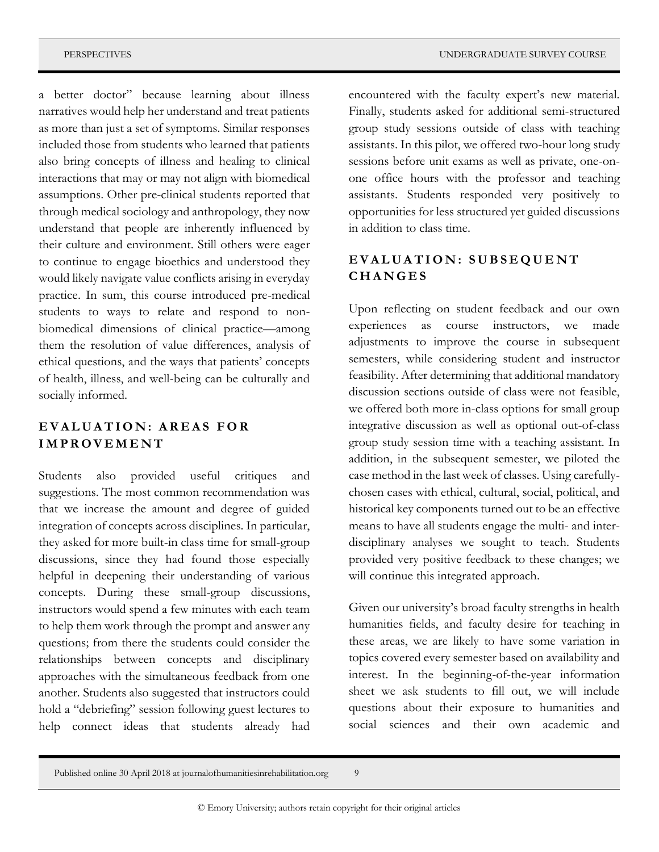a better doctor" because learning about illness narratives would help her understand and treat patients as more than just a set of symptoms. Similar responses included those from students who learned that patients also bring concepts of illness and healing to clinical interactions that may or may not align with biomedical assumptions. Other pre-clinical students reported that through medical sociology and anthropology, they now understand that people are inherently influenced by their culture and environment. Still others were eager to continue to engage bioethics and understood they

would likely navigate value conflicts arising in everyday practice. In sum, this course introduced pre-medical students to ways to relate and respond to nonbiomedical dimensions of clinical practice—among them the resolution of value differences, analysis of ethical questions, and the ways that patients' concepts of health, illness, and well-being can be culturally and socially informed.

#### **E V A L U A T I O N : A R E A S F O R I M P R O V E M E N T**

Students also provided useful critiques and suggestions. The most common recommendation was that we increase the amount and degree of guided integration of concepts across disciplines. In particular, they asked for more built-in class time for small-group discussions, since they had found those especially helpful in deepening their understanding of various concepts. During these small-group discussions, instructors would spend a few minutes with each team to help them work through the prompt and answer any questions; from there the students could consider the relationships between concepts and disciplinary approaches with the simultaneous feedback from one another. Students also suggested that instructors could hold a "debriefing" session following guest lectures to help connect ideas that students already had

encountered with the faculty expert's new material. Finally, students asked for additional semi-structured group study sessions outside of class with teaching assistants. In this pilot, we offered two-hour long study sessions before unit exams as well as private, one-onone office hours with the professor and teaching assistants. Students responded very positively to opportunities for less structured yet guided discussions in addition to class time.

#### **E V A L U A T I O N : S U B S E Q U E N T C H A N G E S**

Upon reflecting on student feedback and our own experiences as course instructors, we made adjustments to improve the course in subsequent semesters, while considering student and instructor feasibility. After determining that additional mandatory discussion sections outside of class were not feasible, we offered both more in-class options for small group integrative discussion as well as optional out-of-class group study session time with a teaching assistant. In addition, in the subsequent semester, we piloted the case method in the last week of classes. Using carefullychosen cases with ethical, cultural, social, political, and historical key components turned out to be an effective means to have all students engage the multi- and interdisciplinary analyses we sought to teach. Students provided very positive feedback to these changes; we will continue this integrated approach.

Given our university's broad faculty strengths in health humanities fields, and faculty desire for teaching in these areas, we are likely to have some variation in topics covered every semester based on availability and interest. In the beginning-of-the-year information sheet we ask students to fill out, we will include questions about their exposure to humanities and social sciences and their own academic and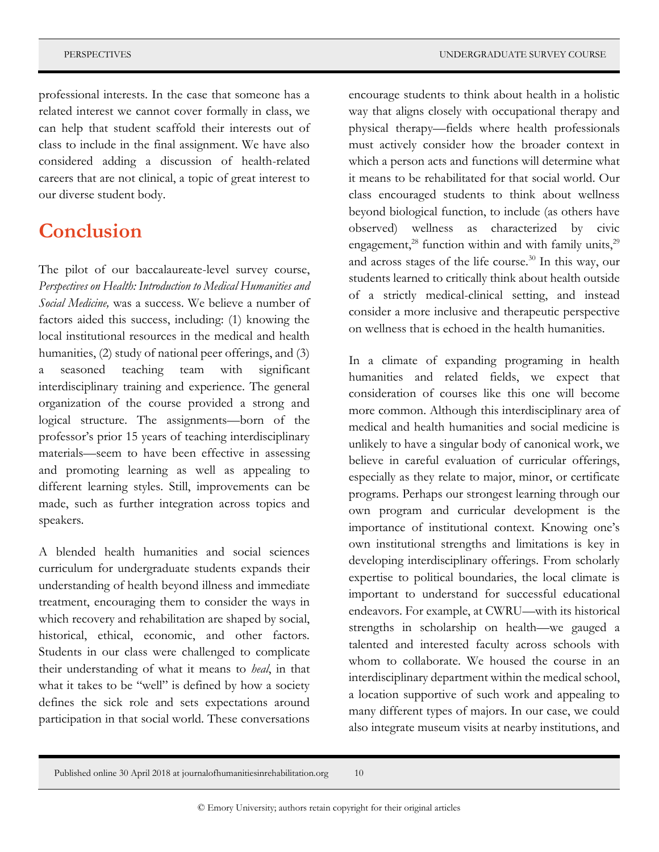professional interests. In the case that someone has a related interest we cannot cover formally in class, we can help that student scaffold their interests out of class to include in the final assignment. We have also considered adding a discussion of health-related careers that are not clinical, a topic of great interest to our diverse student body.

### **Conclusion**

The pilot of our baccalaureate-level survey course, *Perspectives on Health: Introduction to Medical Humanities and Social Medicine,* was a success. We believe a number of factors aided this success, including: (1) knowing the local institutional resources in the medical and health humanities, (2) study of national peer offerings, and (3) a seasoned teaching team with significant interdisciplinary training and experience. The general organization of the course provided a strong and logical structure. The assignments—born of the professor's prior 15 years of teaching interdisciplinary materials—seem to have been effective in assessing and promoting learning as well as appealing to different learning styles. Still, improvements can be made, such as further integration across topics and speakers.

A blended health humanities and social sciences curriculum for undergraduate students expands their understanding of health beyond illness and immediate treatment, encouraging them to consider the ways in which recovery and rehabilitation are shaped by social, historical, ethical, economic, and other factors. Students in our class were challenged to complicate their understanding of what it means to *heal*, in that what it takes to be "well" is defined by how a society defines the sick role and sets expectations around participation in that social world. These conversations

encourage students to think about health in a holistic way that aligns closely with occupational therapy and physical therapy—fields where health professionals must actively consider how the broader context in which a person acts and functions will determine what it means to be rehabilitated for that social world. Our class encouraged students to think about wellness beyond biological function, to include (as others have observed) wellness as characterized by civic engagement, $^{28}$  function within and with family units, $^{29}$ and across stages of the life course. $30$  In this way, our students learned to critically think about health outside of a strictly medical-clinical setting, and instead consider a more inclusive and therapeutic perspective on wellness that is echoed in the health humanities.

In a climate of expanding programing in health humanities and related fields, we expect that consideration of courses like this one will become more common. Although this interdisciplinary area of medical and health humanities and social medicine is unlikely to have a singular body of canonical work, we believe in careful evaluation of curricular offerings, especially as they relate to major, minor, or certificate programs. Perhaps our strongest learning through our own program and curricular development is the importance of institutional context. Knowing one's own institutional strengths and limitations is key in developing interdisciplinary offerings. From scholarly expertise to political boundaries, the local climate is important to understand for successful educational endeavors. For example, at CWRU—with its historical strengths in scholarship on health—we gauged a talented and interested faculty across schools with whom to collaborate. We housed the course in an interdisciplinary department within the medical school, a location supportive of such work and appealing to many different types of majors. In our case, we could also integrate museum visits at nearby institutions, and

Published online 30 April 2018 at journalofhumanitiesinrehabilitation.org 10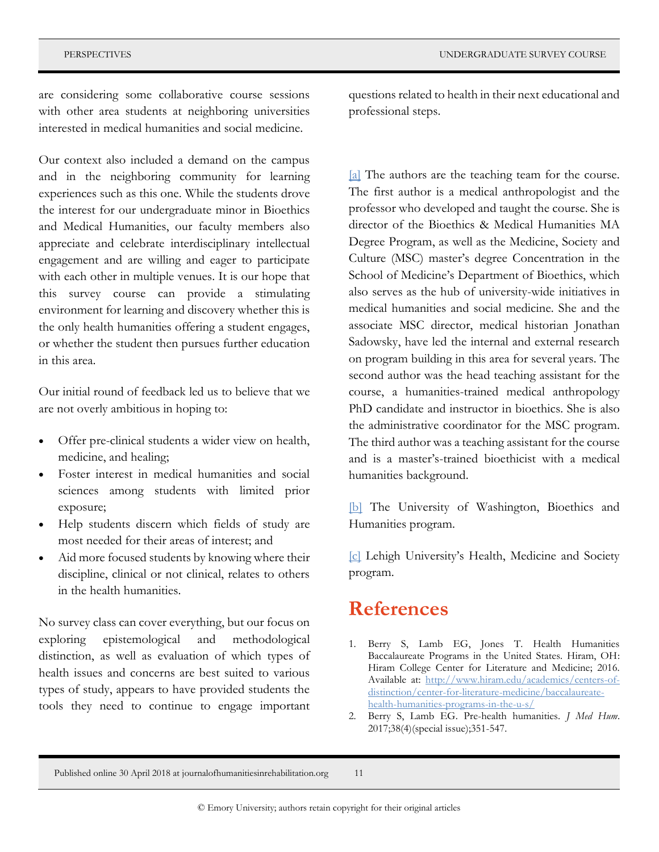are considering some collaborative course sessions with other area students at neighboring universities interested in medical humanities and social medicine.

Our context also included a demand on the campus and in the neighboring community for learning experiences such as this one. While the students drove the interest for our undergraduate minor in Bioethics and Medical Humanities, our faculty members also appreciate and celebrate interdisciplinary intellectual engagement and are willing and eager to participate with each other in multiple venues. It is our hope that this survey course can provide a stimulating environment for learning and discovery whether this is the only health humanities offering a student engages, or whether the student then pursues further education in this area.

Our initial round of feedback led us to believe that we are not overly ambitious in hoping to:

- Offer pre-clinical students a wider view on health, medicine, and healing;
- Foster interest in medical humanities and social sciences among students with limited prior exposure;
- Help students discern which fields of study are most needed for their areas of interest; and
- Aid more focused students by knowing where their discipline, clinical or not clinical, relates to others in the health humanities.

No survey class can cover everything, but our focus on exploring epistemological and methodological distinction, as well as evaluation of which types of health issues and concerns are best suited to various types of study, appears to have provided students the tools they need to continue to engage important

questions related to health in their next educational and professional steps.

<span id="page-10-0"></span>[\[a\]](#page-0-0) The authors are the teaching team for the course. The first author is a medical anthropologist and the professor who developed and taught the course. She is director of the Bioethics & Medical Humanities MA Degree Program, as well as the Medicine, Society and Culture (MSC) master's degree Concentration in the School of Medicine's Department of Bioethics, which also serves as the hub of university-wide initiatives in medical humanities and social medicine. She and the associate MSC director, medical historian Jonathan Sadowsky, have led the internal and external research on program building in this area for several years. The second author was the head teaching assistant for the course, a humanities-trained medical anthropology PhD candidate and instructor in bioethics. She is also the administrative coordinator for the MSC program. The third author was a teaching assistant for the course and is a master's-trained bioethicist with a medical humanities background.

<span id="page-10-1"></span>[\[b\]](#page-4-0) The University of Washington, Bioethics and Humanities program.

<span id="page-10-2"></span>[\[c\]](#page-4-1) Lehigh University's Health, Medicine and Society program.

### **References**

- 1. Berry S, Lamb EG, Jones T. Health Humanities Baccalaureate Programs in the United States. Hiram, OH: Hiram College Center for Literature and Medicine; 2016. Available at: [http://www.hiram.edu/academics/centers-of](http://www.hiram.edu/academics/centers-of-distinction/center-for-literature-medicine/baccalaureate-health-humanities-programs-in-the-u-s/)[distinction/center-for-literature-medicine/baccalaureate](http://www.hiram.edu/academics/centers-of-distinction/center-for-literature-medicine/baccalaureate-health-humanities-programs-in-the-u-s/)[health-humanities-programs-in-the-u-s/](http://www.hiram.edu/academics/centers-of-distinction/center-for-literature-medicine/baccalaureate-health-humanities-programs-in-the-u-s/)
- 2. Berry S, Lamb EG. Pre-health humanities. *J Med Hum*. 2017;38(4)(special issue);351-547.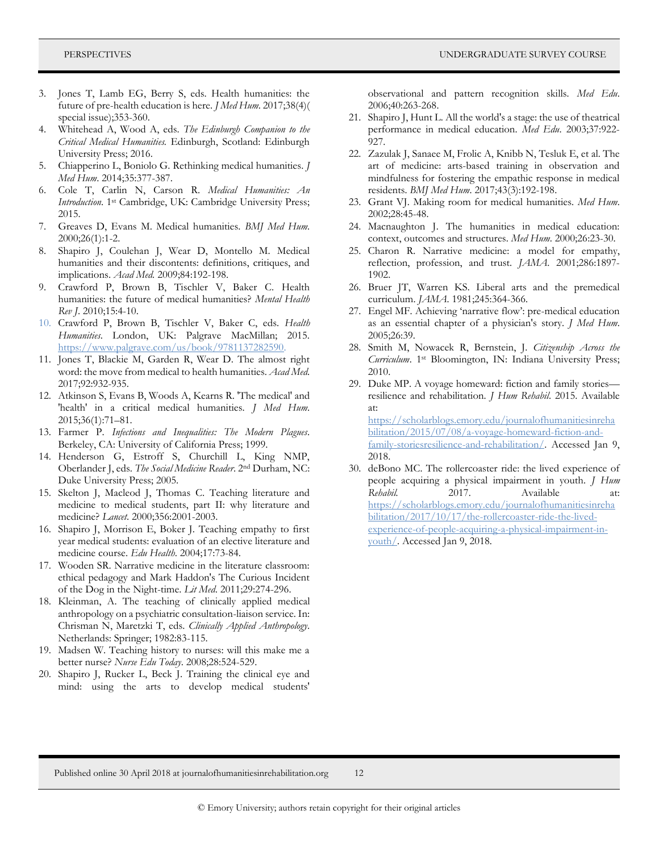- Jones T, Lamb EG, Berry S, eds. Health humanities: the future of pre-health education is here. *J Med Hum*. 2017;38(4)( special issue);353-360.
- 4. Whitehead A, Wood A, eds. *The Edinburgh Companion to the Critical Medical Humanities.* Edinburgh, Scotland: Edinburgh University Press; 2016.
- 5. Chiapperino L, Boniolo G. Rethinking medical humanities. *J Med Hum*. 2014;35:377-387.
- 6. Cole T, Carlin N, Carson R. *Medical Humanities: An Introduction*. 1st Cambridge, UK: Cambridge University Press; 2015.
- 7. Greaves D, Evans M. Medical humanities. *BMJ Med Hum.*  2000;26(1):1-2.
- 8. Shapiro J, Coulehan J, Wear D, Montello M. Medical humanities and their discontents: definitions, critiques, and implications. *Acad Med.* 2009;84:192-198.
- 9. Crawford P, Brown B, Tischler V, Baker C. Health humanities: the future of medical humanities? *Mental Health Rev J*. 2010;15:4-10.
- 10. Crawford P, Brown B, Tischler V, Baker C, eds. *Health Humanities*. London, UK: Palgrave MacMillan; 2015. [https://www.palgrave.com/us/book/9781137282590.](https://www.palgrave.com/us/book/9781137282590)
- 11. Jones T, Blackie M, Garden R, Wear D. The almost right word: the move from medical to health humanities. *Acad Med*. 2017;92:932-935.
- 12. Atkinson S, Evans B, Woods A, Kearns R. 'The medical' and 'health' in a critical medical humanities. *J Med Hum*. 2015;36(1):71–81.
- 13. Farmer P. *Infections and Inequalities: The Modern Plagues*. Berkeley, CA: University of California Press; 1999.
- 14. Henderson G, Estroff S, Churchill L, King NMP, Oberlander J, eds. *The Social Medicine Reader*. 2nd Durham, NC: Duke University Press; 2005.
- 15. Skelton J, Macleod J, Thomas C. Teaching literature and medicine to medical students, part II: why literature and medicine? *Lancet*. 2000;356:2001-2003.
- 16. Shapiro J, Morrison E, Boker J. Teaching empathy to first year medical students: evaluation of an elective literature and medicine course. *Edu Health*. 2004;17:73-84.
- 17. Wooden SR. Narrative medicine in the literature classroom: ethical pedagogy and Mark Haddon's The Curious Incident of the Dog in the Night-time. *Lit Med*. 2011;29:274-296.
- 18. Kleinman, A. The teaching of clinically applied medical anthropology on a psychiatric consultation-liaison service. In: Chrisman N, Maretzki T, eds. *Clinically Applied Anthropology*. Netherlands: Springer; 1982:83-115.
- 19. Madsen W. Teaching history to nurses: will this make me a better nurse? *Nurse Edu Today*. 2008;28:524-529.
- 20. Shapiro J, Rucker L, Beck J. Training the clinical eye and mind: using the arts to develop medical students'

observational and pattern recognition skills. *Med Edu*. 2006;40:263-268.

- 21. Shapiro J, Hunt L. All the world's a stage: the use of theatrical performance in medical education. *Med Edu*. 2003;37:922- 927.
- 22. Zazulak J, Sanaee M, Frolic A, Knibb N, Tesluk E, et al. The art of medicine: arts-based training in observation and mindfulness for fostering the empathic response in medical residents. *BMJ Med Hum*. 2017;43(3):192-198.
- 23. Grant VJ. Making room for medical humanities. *Med Hum*. 2002;28:45-48.
- 24. Macnaughton J. The humanities in medical education: context, outcomes and structures. *Med Hum*. 2000;26:23-30.
- 25. Charon R. Narrative medicine: a model for empathy, reflection, profession, and trust. *JAMA*. 2001;286:1897- 1902.
- 26. Bruer JT, Warren KS. Liberal arts and the premedical curriculum. *JAMA*. 1981;245:364-366.
- 27. Engel MF. Achieving 'narrative flow': pre-medical education as an essential chapter of a physician's story. *J Med Hum*. 2005;26:39.
- 28. Smith M, Nowacek R, Bernstein, J. *Citizenship Across the Curriculum*. 1st Bloomington, IN: Indiana University Press; 2010.
- 29. Duke MP. A voyage homeward: fiction and family stories resilience and rehabilitation. *J Hum Rehabil*. 2015. Available at: [https://scholarblogs.emory.edu/journalofhumanitiesinreha](https://scholarblogs.emory.edu/journalofhumanitiesinrehabilitation/2015/07/08/a-voyage-homeward-fiction-and-family-storiesresilience-and-rehabilitation/) [bilitation/2015/07/08/a-voyage-homeward-fiction-and](https://scholarblogs.emory.edu/journalofhumanitiesinrehabilitation/2015/07/08/a-voyage-homeward-fiction-and-family-storiesresilience-and-rehabilitation/)[family-storiesresilience-and-rehabilitation/.](https://scholarblogs.emory.edu/journalofhumanitiesinrehabilitation/2015/07/08/a-voyage-homeward-fiction-and-family-storiesresilience-and-rehabilitation/) Accessed Jan 9, 2018.
- 30. deBono MC. The rollercoaster ride: the lived experience of people acquiring a physical impairment in youth. *J Hum Rehabil.* 2017. Available at: [https://scholarblogs.emory.edu/journalofhumanitiesinreha](https://scholarblogs.emory.edu/journalofhumanitiesinrehabilitation/2017/10/17/the-rollercoaster-ride-the-lived-experience-of-people-acquiring-a-physical-impairment-in-youth/) [bilitation/2017/10/17/the-rollercoaster-ride-the-lived](https://scholarblogs.emory.edu/journalofhumanitiesinrehabilitation/2017/10/17/the-rollercoaster-ride-the-lived-experience-of-people-acquiring-a-physical-impairment-in-youth/)[experience-of-people-acquiring-a-physical-impairment-in](https://scholarblogs.emory.edu/journalofhumanitiesinrehabilitation/2017/10/17/the-rollercoaster-ride-the-lived-experience-of-people-acquiring-a-physical-impairment-in-youth/)[youth/.](https://scholarblogs.emory.edu/journalofhumanitiesinrehabilitation/2017/10/17/the-rollercoaster-ride-the-lived-experience-of-people-acquiring-a-physical-impairment-in-youth/) Accessed Jan 9, 2018.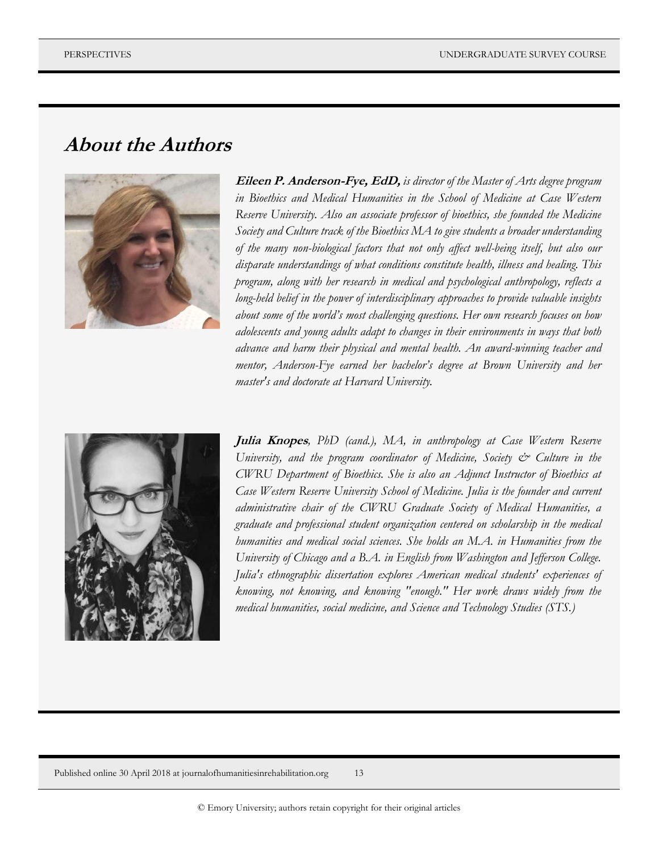### **About the Authors**



**Eileen P. Anderson-Fye, EdD,** *is director of the Master of Arts degree program in Bioethics and Medical Humanities in the School of Medicine at Case Western Reserve University. Also an associate professor of bioethics, she founded the Medicine Society and Culture track of the Bioethics MA to give students a broader understanding of the many non-biological factors that not only affect well-being itself, but also our disparate understandings of what conditions constitute health, illness and healing. This program, along with her research in medical and psychological anthropology, reflects a long-held belief in the power of interdisciplinary approaches to provide valuable insights about some of the world's most challenging questions. Her own research focuses on how adolescents and young adults adapt to changes in their environments in ways that both advance and harm their physical and mental health. An award-winning teacher and mentor, Anderson-Fye earned her bachelor's degree at Brown University and her master's and doctorate at Harvard University.*



**Julia Knopes***, PhD (cand.), MA, in anthropology at Case Western Reserve University, and the program coordinator of Medicine, Society & Culture in the CWRU Department of Bioethics. She is also an Adjunct Instructor of Bioethics at Case Western Reserve University School of Medicine. Julia is the founder and current administrative chair of the CWRU Graduate Society of Medical Humanities, a graduate and professional student organization centered on scholarship in the medical humanities and medical social sciences. She holds an M.A. in Humanities from the University of Chicago and a B.A. in English from Washington and Jefferson College. Julia's ethnographic dissertation explores American medical students' experiences of knowing, not knowing, and knowing "enough." Her work draws widely from the medical humanities, social medicine, and Science and Technology Studies (STS.)*